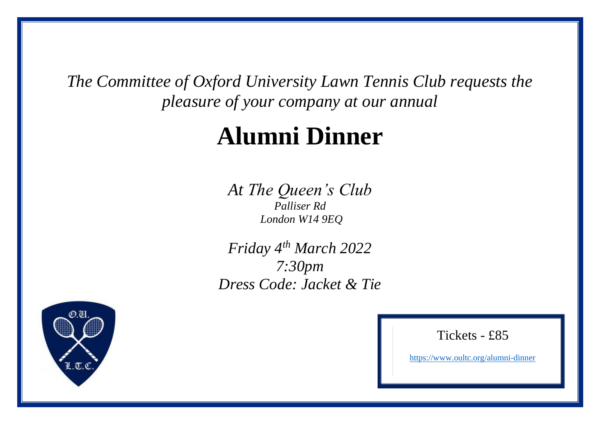*The Committee of Oxford University Lawn Tennis Club requests the pleasure of your company at our annual*

# **Alumni Dinner**

*At The Queen's Club Palliser Rd London W14 9EQ*

*Friday 4 th March 2022 7:30pm Dress Code: Jacket & Tie*



### Tickets - £85

<https://www.oultc.org/alumni-dinner>